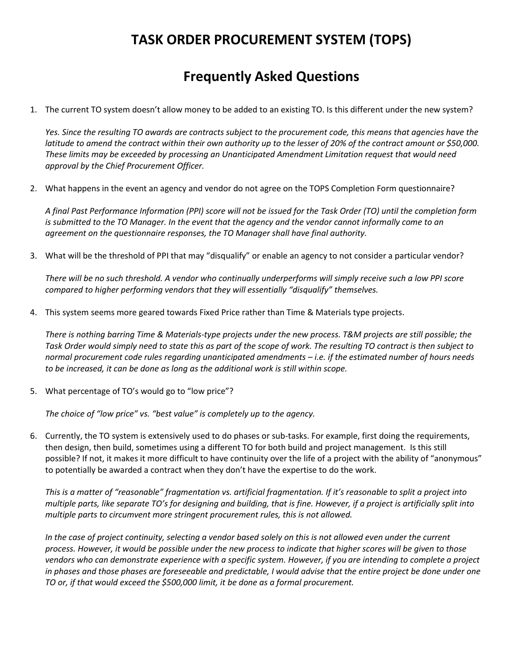## **TASK ORDER PROCUREMENT SYSTEM (TOPS)**

## **Frequently Asked Questions**

1. The current TO system doesn't allow money to be added to an existing TO. Is this different under the new system?

*Yes. Since the resulting TO awards are contracts subject to the procurement code, this means that agencies have the latitude to amend the contract within their own authority up to the lesser of 20% of the contract amount or \$50,000. These limits may be exceeded by processing an Unanticipated Amendment Limitation request that would need approval by the Chief Procurement Officer.*

2. What happens in the event an agency and vendor do not agree on the TOPS Completion Form questionnaire?

*A final Past Performance Information (PPI) score will not be issued for the Task Order (TO) until the completion form is submitted to the TO Manager. In the event that the agency and the vendor cannot informally come to an agreement on the questionnaire responses, the TO Manager shall have final authority.*

3. What will be the threshold of PPI that may "disqualify" or enable an agency to not consider a particular vendor?

*There will be no such threshold. A vendor who continually underperforms will simply receive such a low PPI score compared to higher performing vendors that they will essentially "disqualify" themselves.*

4. This system seems more geared towards Fixed Price rather than Time & Materials type projects.

*There is nothing barring Time & Materials-type projects under the new process. T&M projects are still possible; the Task Order would simply need to state this as part of the scope of work. The resulting TO contract is then subject to normal procurement code rules regarding unanticipated amendments – i.e. if the estimated number of hours needs to be increased, it can be done as long as the additional work is still within scope.*

5. What percentage of TO's would go to "low price"?

*The choice of "low price" vs. "best value" is completely up to the agency.*

6. Currently, the TO system is extensively used to do phases or sub-tasks. For example, first doing the requirements, then design, then build, sometimes using a different TO for both build and project management. Is this still possible? If not, it makes it more difficult to have continuity over the life of a project with the ability of "anonymous" to potentially be awarded a contract when they don't have the expertise to do the work.

*This is a matter of "reasonable" fragmentation vs. artificial fragmentation. If it's reasonable to split a project into multiple parts, like separate TO's for designing and building, that is fine. However, if a project is artificially split into multiple parts to circumvent more stringent procurement rules, this is not allowed.*

*In the case of project continuity, selecting a vendor based solely on this is not allowed even under the current process. However, it would be possible under the new process to indicate that higher scores will be given to those vendors who can demonstrate experience with a specific system. However, if you are intending to complete a project*  in phases and those phases are foreseeable and predictable, I would advise that the entire project be done under one *TO or, if that would exceed the \$500,000 limit, it be done as a formal procurement.*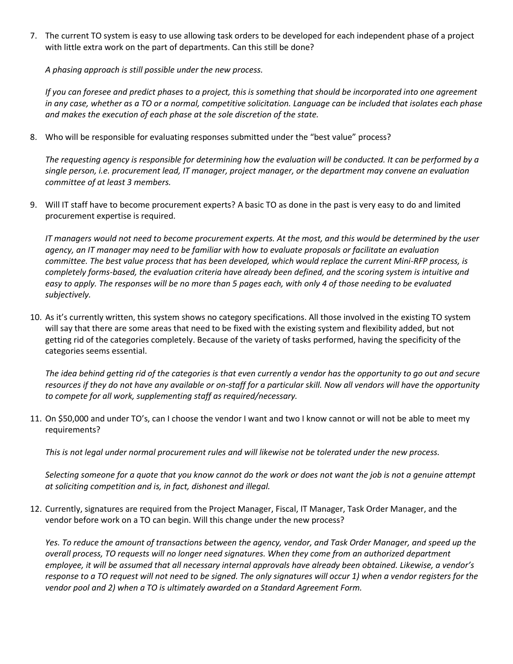7. The current TO system is easy to use allowing task orders to be developed for each independent phase of a project with little extra work on the part of departments. Can this still be done?

*A phasing approach is still possible under the new process.*

*If you can foresee and predict phases to a project, this is something that should be incorporated into one agreement in any case, whether as a TO or a normal, competitive solicitation. Language can be included that isolates each phase and makes the execution of each phase at the sole discretion of the state.*

8. Who will be responsible for evaluating responses submitted under the "best value" process?

*The requesting agency is responsible for determining how the evaluation will be conducted. It can be performed by a single person, i.e. procurement lead, IT manager, project manager, or the department may convene an evaluation committee of at least 3 members.*

9. Will IT staff have to become procurement experts? A basic TO as done in the past is very easy to do and limited procurement expertise is required.

*IT managers would not need to become procurement experts. At the most, and this would be determined by the user agency, an IT manager may need to be familiar with how to evaluate proposals or facilitate an evaluation committee. The best value process that has been developed, which would replace the current Mini-RFP process, is completely forms-based, the evaluation criteria have already been defined, and the scoring system is intuitive and easy to apply. The responses will be no more than 5 pages each, with only 4 of those needing to be evaluated subjectively.*

10. As it's currently written, this system shows no category specifications. All those involved in the existing TO system will say that there are some areas that need to be fixed with the existing system and flexibility added, but not getting rid of the categories completely. Because of the variety of tasks performed, having the specificity of the categories seems essential.

*The idea behind getting rid of the categories is that even currently a vendor has the opportunity to go out and secure resources if they do not have any available or on-staff for a particular skill. Now all vendors will have the opportunity to compete for all work, supplementing staff as required/necessary.*

11. On \$50,000 and under TO's, can I choose the vendor I want and two I know cannot or will not be able to meet my requirements?

*This is not legal under normal procurement rules and will likewise not be tolerated under the new process.*

*Selecting someone for a quote that you know cannot do the work or does not want the job is not a genuine attempt at soliciting competition and is, in fact, dishonest and illegal.*

12. Currently, signatures are required from the Project Manager, Fiscal, IT Manager, Task Order Manager, and the vendor before work on a TO can begin. Will this change under the new process?

*Yes. To reduce the amount of transactions between the agency, vendor, and Task Order Manager, and speed up the overall process, TO requests will no longer need signatures. When they come from an authorized department employee, it will be assumed that all necessary internal approvals have already been obtained. Likewise, a vendor's response to a TO request will not need to be signed. The only signatures will occur 1) when a vendor registers for the vendor pool and 2) when a TO is ultimately awarded on a Standard Agreement Form.*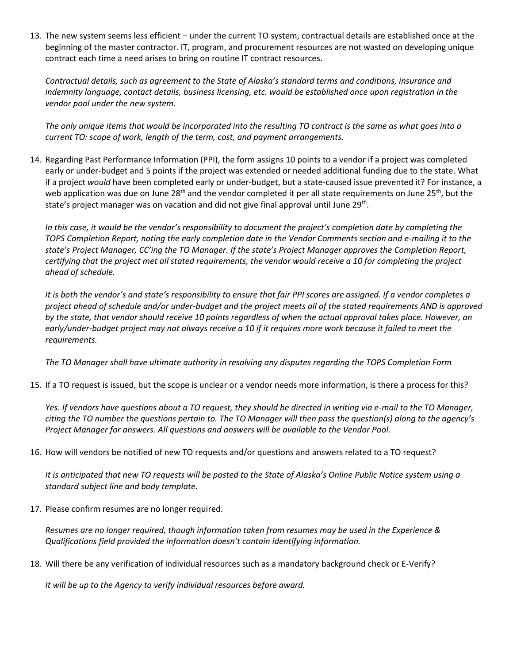13. The new system seems less efficient – under the current TO system, contractual details are established once at the beginning of the master contractor. IT, program, and procurement resources are not wasted on developing unique contract each time a need arises to bring on routine IT contract resources.

*Contractual details, such as agreement to the State of Alaska's standard terms and conditions, insurance and indemnity language, contact details, business licensing, etc. would be established once upon registration in the vendor pool under the new system.* 

*The only unique items that would be incorporated into the resulting TO contract is the same as what goes into a current TO: scope of work, length of the term, cost, and payment arrangements.*

14. Regarding Past Performance Information (PPI), the form assigns 10 points to a vendor if a project was completed early or under-budget and 5 points if the project was extended or needed additional funding due to the state. What if a project *would* have been completed early or under-budget, but a state-caused issue prevented it? For instance, a web application was due on June 28<sup>th</sup> and the vendor completed it per all state requirements on June 25<sup>th</sup>, but the state's project manager was on vacation and did not give final approval until June 29<sup>th</sup>.

*In this case, it would be the vendor's responsibility to document the project's completion date by completing the TOPS Completion Report, noting the early completion date in the Vendor Comments section and e-mailing it to the state's Project Manager, CC'ing the TO Manager. If the state's Project Manager approves the Completion Report, certifying that the project met all stated requirements, the vendor would receive a 10 for completing the project ahead of schedule.*

*It is both the vendor's and state's responsibility to ensure that fair PPI scores are assigned. If a vendor completes a project ahead of schedule and/or under-budget and the project meets all of the stated requirements AND is approved by the state, that vendor should receive 10 points regardless of when the actual approval takes place. However, an early/under-budget project may not always receive a 10 if it requires more work because it failed to meet the requirements.*

*The TO Manager shall have ultimate authority in resolving any disputes regarding the TOPS Completion Form*

15. If a TO request is issued, but the scope is unclear or a vendor needs more information, is there a process for this?

Yes. If vendors have questions about a TO request, they should be directed in writing via e-mail to the TO Manager, *citing the TO number the questions pertain to. The TO Manager will then pass the question(s) along to the agency's Project Manager for answers. All questions and answers will be available to the Vendor Pool.*

16. How will vendors be notified of new TO requests and/or questions and answers related to a TO request?

*It is anticipated that new TO requests will be posted to the State of Alaska's Online Public Notice system using a standard subject line and body template.*

17. Please confirm resumes are no longer required.

*Resumes are no longer required, though information taken from resumes may be used in the Experience & Qualifications field provided the information doesn't contain identifying information.*

18. Will there be any verification of individual resources such as a mandatory background check or E-Verify?

*It will be up to the Agency to verify individual resources before award.*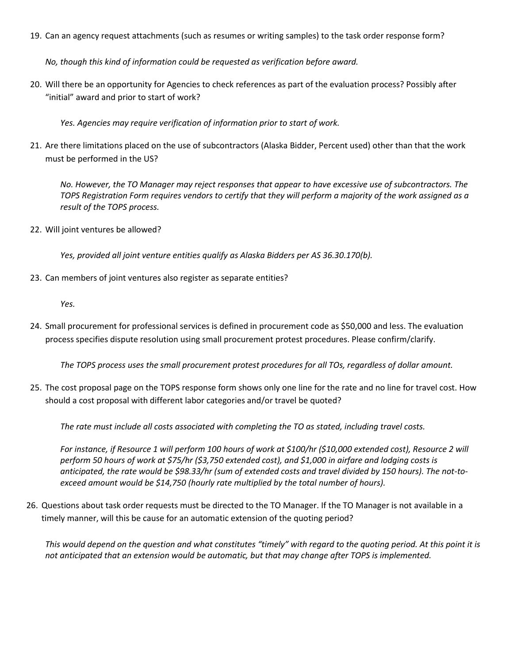19. Can an agency request attachments (such as resumes or writing samples) to the task order response form?

*No, though this kind of information could be requested as verification before award.*

20. Will there be an opportunity for Agencies to check references as part of the evaluation process? Possibly after "initial" award and prior to start of work?

*Yes. Agencies may require verification of information prior to start of work.*

21. Are there limitations placed on the use of subcontractors (Alaska Bidder, Percent used) other than that the work must be performed in the US?

*No. However, the TO Manager may reject responses that appear to have excessive use of subcontractors. The TOPS Registration Form requires vendors to certify that they will perform a majority of the work assigned as a result of the TOPS process.*

22. Will joint ventures be allowed?

*Yes, provided all joint venture entities qualify as Alaska Bidders per AS 36.30.170(b).*

23. Can members of joint ventures also register as separate entities?

*Yes.*

24. Small procurement for professional services is defined in procurement code as \$50,000 and less. The evaluation process specifies dispute resolution using small procurement protest procedures. Please confirm/clarify.

*The TOPS process uses the small procurement protest procedures for all TOs, regardless of dollar amount.*

25. The cost proposal page on the TOPS response form shows only one line for the rate and no line for travel cost. How should a cost proposal with different labor categories and/or travel be quoted?

*The rate must include all costs associated with completing the TO as stated, including travel costs.*

*For instance, if Resource 1 will perform 100 hours of work at \$100/hr (\$10,000 extended cost), Resource 2 will perform 50 hours of work at \$75/hr (\$3,750 extended cost), and \$1,000 in airfare and lodging costs is anticipated, the rate would be \$98.33/hr (sum of extended costs and travel divided by 150 hours). The not-toexceed amount would be \$14,750 (hourly rate multiplied by the total number of hours).*

26. Questions about task order requests must be directed to the TO Manager. If the TO Manager is not available in a timely manner, will this be cause for an automatic extension of the quoting period?

*This would depend on the question and what constitutes "timely" with regard to the quoting period. At this point it is not anticipated that an extension would be automatic, but that may change after TOPS is implemented.*